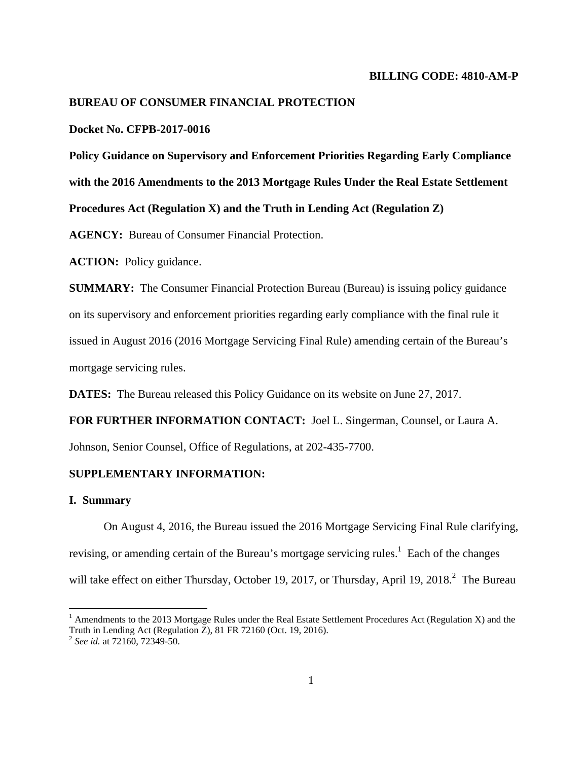# **BUREAU OF CONSUMER FINANCIAL PROTECTION**

## **Docket No. CFPB-2017-0016**

**Policy Guidance on Supervisory and Enforcement Priorities Regarding Early Compliance with the 2016 Amendments to the 2013 Mortgage Rules Under the Real Estate Settlement Procedures Act (Regulation X) and the Truth in Lending Act (Regulation Z)** 

**AGENCY:** Bureau of Consumer Financial Protection.

**ACTION:** Policy guidance.

**SUMMARY:** The Consumer Financial Protection Bureau (Bureau) is issuing policy guidance on its supervisory and enforcement priorities regarding early compliance with the final rule it issued in August 2016 (2016 Mortgage Servicing Final Rule) amending certain of the Bureau's mortgage servicing rules.

**DATES:** The Bureau released this Policy Guidance on its website on June 27, 2017.

**FOR FURTHER INFORMATION CONTACT:** Joel L. Singerman, Counsel, or Laura A.

Johnson, Senior Counsel, Office of Regulations, at 202-435-7700.

## **SUPPLEMENTARY INFORMATION:**

#### **I. Summary**

<u>.</u>

On August 4, 2016, the Bureau issued the 2016 Mortgage Servicing Final Rule clarifying, revising, or amending certain of the Bureau's mortgage servicing rules.<sup>1</sup> Each of the changes will take effect on either Thursday, October 19, 2017, or Thursday, April 19, 2018. $^2$  The Bureau

<sup>&</sup>lt;sup>1</sup> Amendments to the 2013 Mortgage Rules under the Real Estate Settlement Procedures Act (Regulation X) and the Truth in Lending Act (Regulation Z), 81 FR 72160 (Oct. 19, 2016).

<sup>2</sup> *See id.* at 72160, 72349-50.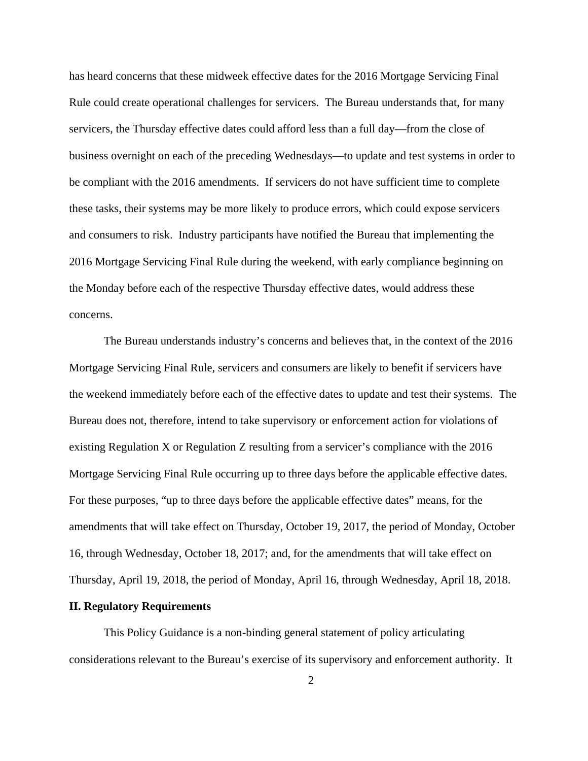has heard concerns that these midweek effective dates for the 2016 Mortgage Servicing Final Rule could create operational challenges for servicers. The Bureau understands that, for many servicers, the Thursday effective dates could afford less than a full day—from the close of business overnight on each of the preceding Wednesdays—to update and test systems in order to be compliant with the 2016 amendments. If servicers do not have sufficient time to complete these tasks, their systems may be more likely to produce errors, which could expose servicers and consumers to risk. Industry participants have notified the Bureau that implementing the 2016 Mortgage Servicing Final Rule during the weekend, with early compliance beginning on the Monday before each of the respective Thursday effective dates, would address these concerns.

The Bureau understands industry's concerns and believes that, in the context of the 2016 Mortgage Servicing Final Rule, servicers and consumers are likely to benefit if servicers have the weekend immediately before each of the effective dates to update and test their systems. The Bureau does not, therefore, intend to take supervisory or enforcement action for violations of existing Regulation X or Regulation Z resulting from a servicer's compliance with the 2016 Mortgage Servicing Final Rule occurring up to three days before the applicable effective dates. For these purposes, "up to three days before the applicable effective dates" means, for the amendments that will take effect on Thursday, October 19, 2017, the period of Monday, October 16, through Wednesday, October 18, 2017; and, for the amendments that will take effect on Thursday, April 19, 2018, the period of Monday, April 16, through Wednesday, April 18, 2018.

### **II. Regulatory Requirements**

This Policy Guidance is a non-binding general statement of policy articulating considerations relevant to the Bureau's exercise of its supervisory and enforcement authority. It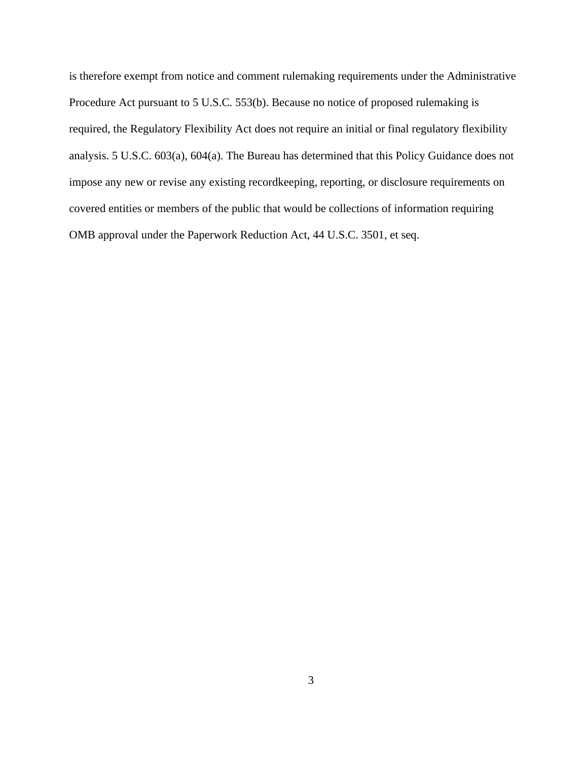is therefore exempt from notice and comment rulemaking requirements under the Administrative Procedure Act pursuant to 5 U.S.C. 553(b). Because no notice of proposed rulemaking is required, the Regulatory Flexibility Act does not require an initial or final regulatory flexibility analysis. 5 U.S.C. 603(a), 604(a). The Bureau has determined that this Policy Guidance does not impose any new or revise any existing recordkeeping, reporting, or disclosure requirements on covered entities or members of the public that would be collections of information requiring OMB approval under the Paperwork Reduction Act, 44 U.S.C. 3501, et seq.